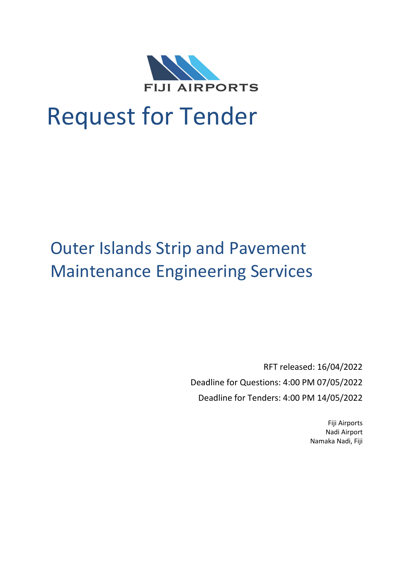

# Request for Tender

## Outer Islands Strip and Pavement Maintenance Engineering Services

RFT released: 16/04/2022 Deadline for Questions: 4:00 PM 07/05/2022 Deadline for Tenders: 4:00 PM 14/05/2022

> Fiji Airports Nadi Airport Namaka Nadi, Fiji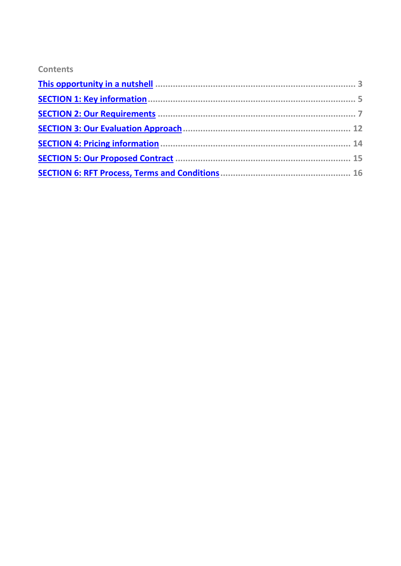## **Contents**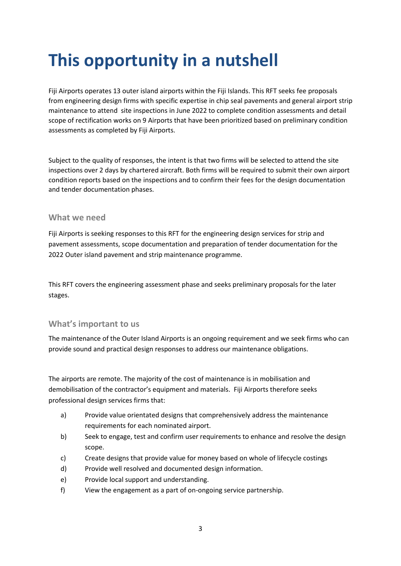## <span id="page-2-0"></span>**This opportunity in a nutshell**

Fiji Airports operates 13 outer island airports within the Fiji Islands. This RFT seeks fee proposals from engineering design firms with specific expertise in chip seal pavements and general airport strip maintenance to attend site inspections in June 2022 to complete condition assessments and detail scope of rectification works on 9 Airports that have been prioritized based on preliminary condition assessments as completed by Fiji Airports.

Subject to the quality of responses, the intent is that two firms will be selected to attend the site inspections over 2 days by chartered aircraft. Both firms will be required to submit their own airport condition reports based on the inspections and to confirm their fees for the design documentation and tender documentation phases.

#### **What we need**

Fiji Airports is seeking responses to this RFT for the engineering design services for strip and pavement assessments, scope documentation and preparation of tender documentation for the 2022 Outer island pavement and strip maintenance programme.

This RFT covers the engineering assessment phase and seeks preliminary proposals for the later stages.

## **What's important to us**

The maintenance of the Outer Island Airports is an ongoing requirement and we seek firms who can provide sound and practical design responses to address our maintenance obligations.

The airports are remote. The majority of the cost of maintenance is in mobilisation and demobilisation of the contractor's equipment and materials. Fiji Airports therefore seeks professional design services firms that:

- a) Provide value orientated designs that comprehensively address the maintenance requirements for each nominated airport.
- b) Seek to engage, test and confirm user requirements to enhance and resolve the design scope.
- c) Create designs that provide value for money based on whole of lifecycle costings
- d) Provide well resolved and documented design information.
- e) Provide local support and understanding.
- f) View the engagement as a part of on-ongoing service partnership.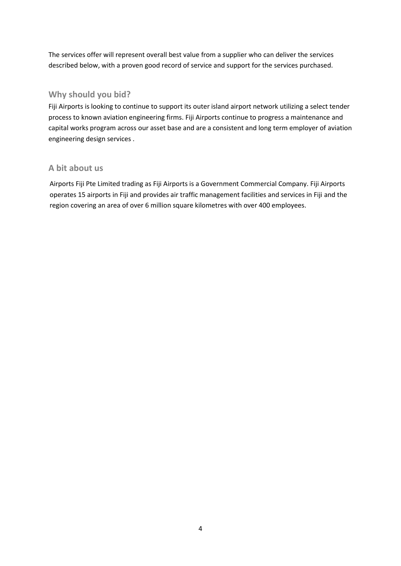The services offer will represent overall best value from a supplier who can deliver the services described below, with a proven good record of service and support for the services purchased.

## **Why should you bid?**

Fiji Airports is looking to continue to support its outer island airport network utilizing a select tender process to known aviation engineering firms. Fiji Airports continue to progress a maintenance and capital works program across our asset base and are a consistent and long term employer of aviation engineering design services .

## **A bit about us**

Airports Fiji Pte Limited trading as Fiji Airports is a Government Commercial Company. Fiji Airports operates 15 airports in Fiji and provides air traffic management facilities and services in Fiji and the region covering an area of over 6 million square kilometres with over 400 employees.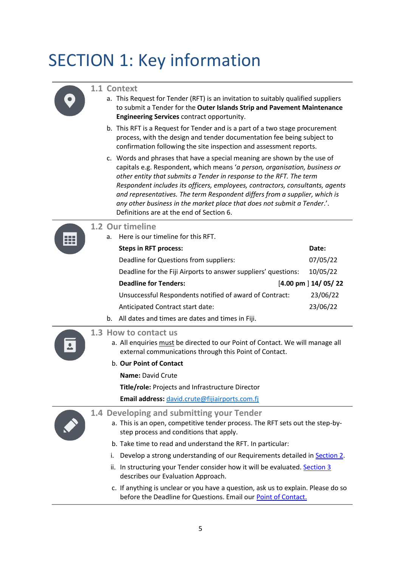## <span id="page-4-0"></span>SECTION 1: Key information



### **1.1 Context**

- a. This Request for Tender (RFT) is an invitation to suitably qualified suppliers to submit a Tender for the **Outer Islands Strip and Pavement Maintenance Engineering Services** contract opportunity.
- b. This RFT is a Request for Tender and is a part of a two stage procurement process, with the design and tender documentation fee being subject to confirmation following the site inspection and assessment reports.
- c. Words and phrases that have a special meaning are shown by the use of capitals e.g. Respondent, which means '*a person, organisation, business or other entity that submits a Tender in response to the RFT. The term Respondent includes its officers, employees, contractors, consultants, agents and representatives. The term Respondent differs from a supplier, which is any other business in the market place that does not submit a Tender*.'. Definitions are at the end of Section 6.



#### **1.2 Our timeline**

a. Here is our timeline for this RFT.

|    | <b>Steps in RFT process:</b>                                   | Date:                             |
|----|----------------------------------------------------------------|-----------------------------------|
|    | Deadline for Questions from suppliers:                         | 07/05/22                          |
|    | Deadline for the Fiji Airports to answer suppliers' questions: | 10/05/22                          |
|    | <b>Deadline for Tenders:</b>                                   | $[4.00 \text{ pm} \mid 14/05/22]$ |
|    | Unsuccessful Respondents notified of award of Contract:        | 23/06/22                          |
|    | Anticipated Contract start date:                               | 23/06/22                          |
| b. | All dates and times are dates and times in Fiji.               |                                   |

## <span id="page-4-1"></span>**1.3 How to contact us**

- a. All enquiries must be directed to our Point of Contact. We will manage all external communications through this Point of Contact.
- b. **Our Point of Contact**

**Name:** David Crute

**Title/role:** Projects and Infrastructure Director

**Email address:** [david.crute@fijiairports.com.fj](mailto:david.crute@fijiairports.com.fj) 



## **1.4 Developing and submitting your Tender**

- a. This is an open, competitive tender process. The RFT sets out the step-bystep process and conditions that apply.
- b. Take time to read and understand the RFT. In particular:
- i. Develop a strong understanding of our Requirements detailed i[n Section 2](#page-6-1).
- ii. In structuring your Tender consider how it will be evaluated. [Section 3](#page-11-1) describes our Evaluation Approach.
- c. If anything is unclear or you have a question, ask us to explain. Please do so before the Deadline for Questions. Email ou[r Point of Contact.](#page-4-1)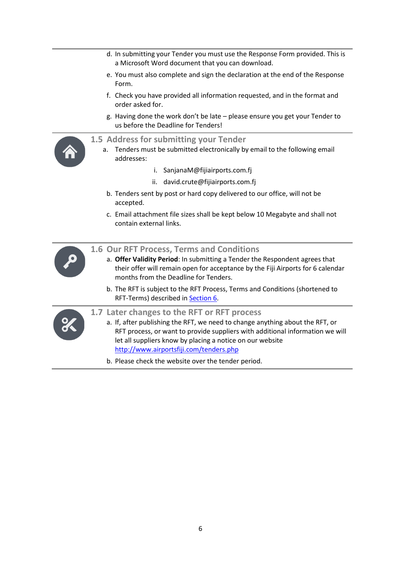- d. In submitting your Tender you must use the Response Form provided. This is a Microsoft Word document that you can download.
- e. You must also complete and sign the declaration at the end of the Response Form.
- f. Check you have provided all information requested, and in the format and order asked for.
- g. Having done the work don't be late please ensure you get your Tender to us before the Deadline for Tenders!



#### **1.5 Address for submitting your Tender**

- a. Tenders must be submitted electronically by email to the following email addresses:
	- i. SanjanaM@fijiairports.com.fj
	- ii. david.crute@fijiairports.com.fj
	- b. Tenders sent by post or hard copy delivered to our office, will not be accepted.
	- c. Email attachment file sizes shall be kept below 10 Megabyte and shall not contain external links.



#### **1.6 Our RFT Process, Terms and Conditions**

- a. **Offer Validity Period**: In submitting a Tender the Respondent agrees that their offer will remain open for acceptance by the Fiji Airports for 6 calendar months from the Deadline for Tenders.
- b. The RFT is subject to the RFT Process, Terms and Conditions (shortened to RFT-Terms) described in [Section 6.](#page-15-1)



#### **1.7 Later changes to the RFT or RFT process**

- a. If, after publishing the RFT, we need to change anything about the RFT, or RFT process, or want to provide suppliers with additional information we will let all suppliers know by placing a notice on our website <http://www.airportsfiji.com/tenders.php>
- b. Please check the website over the tender period.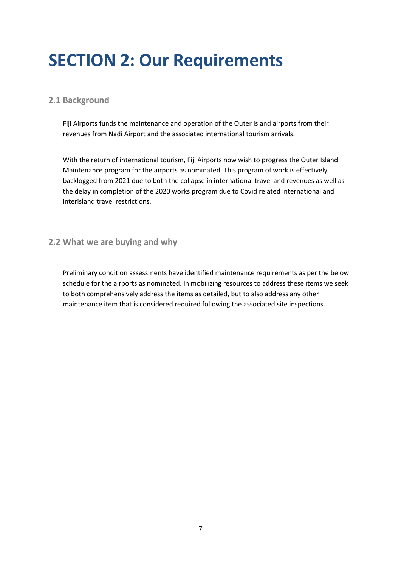## <span id="page-6-1"></span><span id="page-6-0"></span>**SECTION 2: Our Requirements**

## **2.1 Background**

Fiji Airports funds the maintenance and operation of the Outer island airports from their revenues from Nadi Airport and the associated international tourism arrivals.

With the return of international tourism, Fiji Airports now wish to progress the Outer Island Maintenance program for the airports as nominated. This program of work is effectively backlogged from 2021 due to both the collapse in international travel and revenues as well as the delay in completion of the 2020 works program due to Covid related international and interisland travel restrictions.

## **2.2 What we are buying and why**

Preliminary condition assessments have identified maintenance requirements as per the below schedule for the airports as nominated. In mobilizing resources to address these items we seek to both comprehensively address the items as detailed, but to also address any other maintenance item that is considered required following the associated site inspections.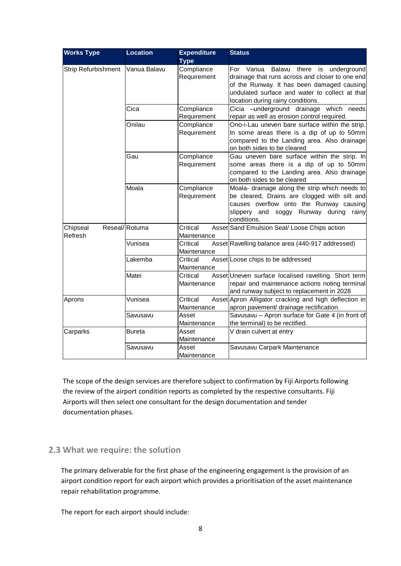| <b>Works Type</b>   | <b>Location</b> | <b>Expenditure</b>        | <b>Status</b>                                                                                                                                                                                                                 |
|---------------------|-----------------|---------------------------|-------------------------------------------------------------------------------------------------------------------------------------------------------------------------------------------------------------------------------|
|                     |                 | <b>Type</b>               |                                                                                                                                                                                                                               |
| Strip Refurbishment | Vanua Balavu    | Compliance<br>Requirement | For Vanua Balavu there is underground<br>drainage that runs across and closer to one end<br>of the Runway. It has been damaged causing<br>undulated surface and water to collect at that<br>location during rainy conditions. |
|                     | Cica            | Compliance<br>Requirement | Cicia - underground drainage which needs<br>repair as well as erosion control required.                                                                                                                                       |
|                     | Onilau          | Compliance<br>Requirement | Ono-i-Lau uneven bare surface within the strip.<br>In some areas there is a dip of up to 50mm<br>compared to the Landing area. Also drainage<br>on both sides to be cleared                                                   |
|                     | Gau             | Compliance<br>Requirement | Gau uneven bare surface within the strip. In<br>some areas there is a dip of up to 50mm<br>compared to the Landing area. Also drainage<br>on both sides to be cleared                                                         |
|                     | Moala           | Compliance<br>Requirement | Moala- drainage along the strip which needs to<br>be cleared, Drains are clogged with silt and<br>causes overflow onto the Runway causing<br>slippery and soggy Runway during<br>rainy<br>conditions.                         |
| Chipseal<br>Refresh | Reseal/Rotuma   | Critical<br>Maintenance   | Asset Sand Emulsion Seal/ Loose Chips action                                                                                                                                                                                  |
|                     | Vunisea         | Critical<br>Maintenance   | Asset Ravelling balance area (440-917 addressed)                                                                                                                                                                              |
|                     | Lakemba         | Critical<br>Maintenance   | Asset Loose chips to be addressed                                                                                                                                                                                             |
|                     | Matei           | Critical<br>Maintenance   | Asset Uneven surface localised ravelling. Short term<br>repair and maintenance actions noting terminal<br>and runway subject to replacement in 2028                                                                           |
| Aprons              | Vunisea         | Critical<br>Maintenance   | Asset Apron Alligator cracking and high deflection in<br>apron pavement/ drainage rectification.                                                                                                                              |
|                     | Savusavu        | Asset<br>Maintenance      | Savusavu - Apron surface for Gate 4 (in front of<br>the terminal) to be rectified.                                                                                                                                            |
| Carparks            | <b>Bureta</b>   | Asset<br>Maintenance      | V drain culvert at entry                                                                                                                                                                                                      |
|                     | Savusavu        | Asset<br>Maintenance      | Savusavu Carpark Maintenance                                                                                                                                                                                                  |

The scope of the design services are therefore subject to confirmation by Fiji Airports following the review of the airport condition reports as completed by the respective consultants. Fiji Airports will then select one consultant for the design documentation and tender documentation phases.

## **2.3 What we require: the solution**

The primary deliverable for the first phase of the engineering engagement is the provision of an airport condition report for each airport which provides a prioritisation of the asset maintenance repair rehabilitation programme.

The report for each airport should include: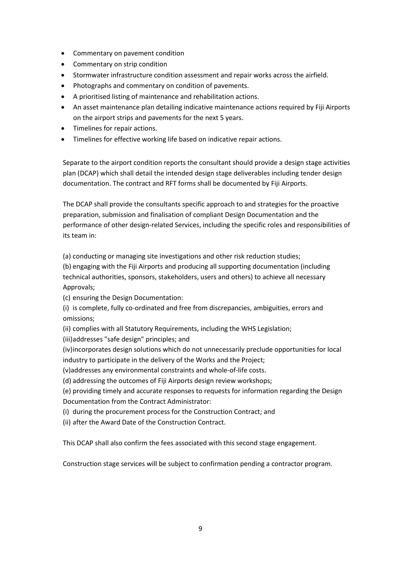- Commentary on pavement condition
- Commentary on strip condition
- Stormwater infrastructure condition assessment and repair works across the airfield.
- Photographs and commentary on condition of pavements.
- A prioritised listing of maintenance and rehabilitation actions.
- An asset maintenance plan detailing indicative maintenance actions required by Fiji Airports on the airport strips and pavements for the next 5 years.
- Timelines for repair actions.
- Timelines for effective working life based on indicative repair actions.

Separate to the airport condition reports the consultant should provide a design stage activities plan (DCAP) which shall detail the intended design stage deliverables including tender design documentation. The contract and RFT forms shall be documented by Fiji Airports.

The DCAP shall provide the consultants specific approach to and strategies for the proactive preparation, submission and finalisation of compliant Design Documentation and the performance of other design-related Services, including the specific roles and responsibilities of its team in:

(a) conducting or managing site investigations and other risk reduction studies;

(b) engaging with the Fiji Airports and producing all supporting documentation (including technical authorities, sponsors, stakeholders, users and others) to achieve all necessary Approvals;

(c) ensuring the Design Documentation:

(i) is complete, fully co-ordinated and free from discrepancies, ambiguities, errors and omissions;

(ii) complies with all Statutory Requirements, including the WHS Legislation;

(iii)addresses "safe design" principles; and

(iv)incorporates design solutions which do not unnecessarily preclude opportunities for local industry to participate in the delivery of the Works and the Project;

(v)addresses any environmental constraints and whole-of-life costs.

(d) addressing the outcomes of Fiji Airports design review workshops;

(e) providing timely and accurate responses to requests for information regarding the Design Documentation from the Contract Administrator:

(i) during the procurement process for the Construction Contract; and

(ii) after the Award Date of the Construction Contract.

This DCAP shall also confirm the fees associated with this second stage engagement.

Construction stage services will be subject to confirmation pending a contractor program.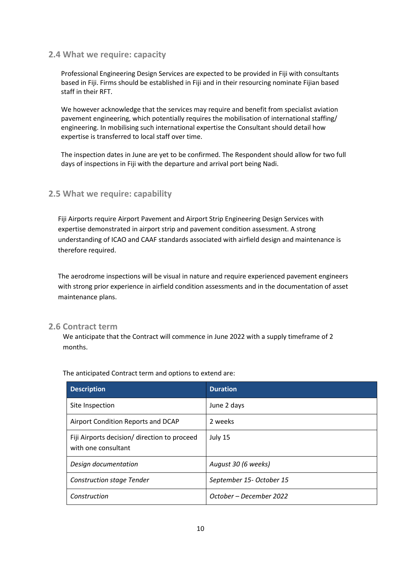#### **2.4 What we require: capacity**

Professional Engineering Design Services are expected to be provided in Fiji with consultants based in Fiji. Firms should be established in Fiji and in their resourcing nominate Fijian based staff in their RFT.

We however acknowledge that the services may require and benefit from specialist aviation pavement engineering, which potentially requires the mobilisation of international staffing/ engineering. In mobilising such international expertise the Consultant should detail how expertise is transferred to local staff over time.

The inspection dates in June are yet to be confirmed. The Respondent should allow for two full days of inspections in Fiji with the departure and arrival port being Nadi.

#### **2.5 What we require: capability**

Fiji Airports require Airport Pavement and Airport Strip Engineering Design Services with expertise demonstrated in airport strip and pavement condition assessment. A strong understanding of ICAO and CAAF standards associated with airfield design and maintenance is therefore required.

The aerodrome inspections will be visual in nature and require experienced pavement engineers with strong prior experience in airfield condition assessments and in the documentation of asset maintenance plans.

#### **2.6 Contract term**

We anticipate that the Contract will commence in June 2022 with a supply timeframe of 2 months.

| <b>Description</b>                                                  | <b>Duration</b>          |
|---------------------------------------------------------------------|--------------------------|
| Site Inspection                                                     | June 2 days              |
| Airport Condition Reports and DCAP                                  | 2 weeks                  |
| Fiji Airports decision/ direction to proceed<br>with one consultant | July 15                  |
| Design documentation                                                | August 30 (6 weeks)      |
| <b>Construction stage Tender</b>                                    | September 15- October 15 |
| Construction                                                        | October – December 2022  |

The anticipated Contract term and options to extend are: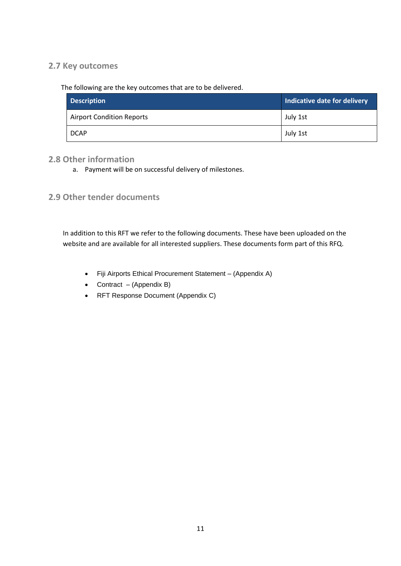## **2.7 Key outcomes**

The following are the key outcomes that are to be delivered.

| <b>Description</b>               | Indicative date for delivery |
|----------------------------------|------------------------------|
| <b>Airport Condition Reports</b> | July 1st                     |
| <b>DCAP</b>                      | July 1st                     |

## **2.8 Other information**

a. Payment will be on successful delivery of milestones.

**2.9 Other tender documents**

In addition to this RFT we refer to the following documents. These have been uploaded on the website and are available for all interested suppliers. These documents form part of this RFQ.

- Fiji Airports Ethical Procurement Statement (Appendix A)
- Contract (Appendix B)
- RFT Response Document (Appendix C)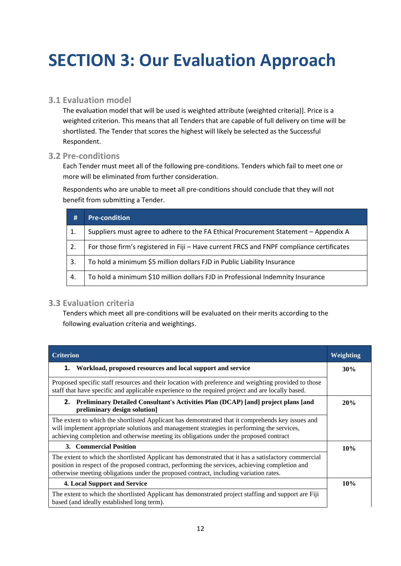## <span id="page-11-1"></span><span id="page-11-0"></span>**SECTION 3: Our Evaluation Approach**

## **3.1 Evaluation model**

The evaluation model that will be used is weighted attribute (weighted criteria)]. Price is a weighted criterion. This means that all Tenders that are capable of full delivery on time will be shortlisted. The Tender that scores the highest will likely be selected as the Successful Respondent.

## **3.2 Pre-conditions**

Each Tender must meet all of the following pre-conditions. Tenders which fail to meet one or more will be eliminated from further consideration.

Respondents who are unable to meet all pre-conditions should conclude that they will not benefit from submitting a Tender.

| #  | <b>Pre-condition</b>                                                                     |
|----|------------------------------------------------------------------------------------------|
|    | Suppliers must agree to adhere to the FA Ethical Procurement Statement - Appendix A      |
| 2. | For those firm's registered in Fiji - Have current FRCS and FNPF compliance certificates |
| 3. | To hold a minimum \$5 million dollars FJD in Public Liability Insurance                  |
| 4. | To hold a minimum \$10 million dollars FJD in Professional Indemnity Insurance           |

## **3.3 Evaluation criteria**

Tenders which meet all pre-conditions will be evaluated on their merits according to the following evaluation criteria and weightings.

| <b>Criterion</b>                                                                                                                                                                                                                                                                                 | Weighting |
|--------------------------------------------------------------------------------------------------------------------------------------------------------------------------------------------------------------------------------------------------------------------------------------------------|-----------|
| Workload, proposed resources and local support and service<br>1.                                                                                                                                                                                                                                 | 30%       |
| Proposed specific staff resources and their location with preference and weighting provided to those<br>staff that have specific and applicable experience to the required project and are locally based.                                                                                        |           |
| 2. Preliminary Detailed Consultant's Activities Plan (DCAP) [and] project plans [and<br>preliminary design solution]                                                                                                                                                                             | 20%       |
| The extent to which the shortlisted Applicant has demonstrated that it comprehends key issues and<br>will implement appropriate solutions and management strategies in performing the services,<br>achieving completion and otherwise meeting its obligations under the proposed contract        |           |
| 3. Commercial Position                                                                                                                                                                                                                                                                           | 10%       |
| The extent to which the shortlisted Applicant has demonstrated that it has a satisfactory commercial<br>position in respect of the proposed contract, performing the services, achieving completion and<br>otherwise meeting obligations under the proposed contract, including variation rates. |           |
| <b>4. Local Support and Service</b>                                                                                                                                                                                                                                                              | 10%       |
| The extent to which the shortlisted Applicant has demonstrated project staffing and support are Fiji<br>based (and ideally established long term).                                                                                                                                               |           |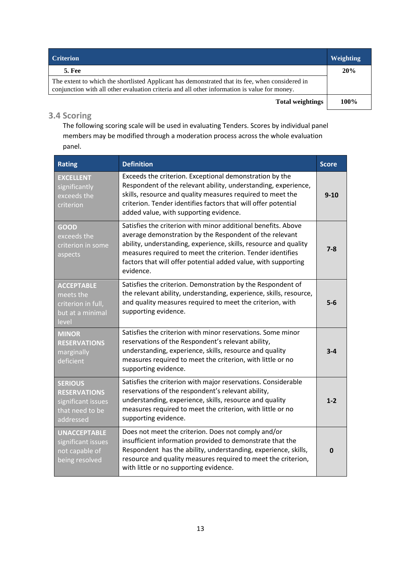| <b>Criterion</b>                                                                                                                                                                                | Weighting |
|-------------------------------------------------------------------------------------------------------------------------------------------------------------------------------------------------|-----------|
| <b>5. Fee</b>                                                                                                                                                                                   | 20%       |
| The extent to which the shortlisted Applicant has demonstrated that its fee, when considered in<br>conjunction with all other evaluation criteria and all other information is value for money. |           |
| <b>Total weightings</b>                                                                                                                                                                         | 100%      |

## **3.4 Scoring**

The following scoring scale will be used in evaluating Tenders. Scores by individual panel members may be modified through a moderation process across the whole evaluation panel.

| <b>Rating</b>                                                                               | <b>Definition</b>                                                                                                                                                                                                                                                                                                                         | <b>Score</b> |
|---------------------------------------------------------------------------------------------|-------------------------------------------------------------------------------------------------------------------------------------------------------------------------------------------------------------------------------------------------------------------------------------------------------------------------------------------|--------------|
| <b>EXCELLENT</b><br>significantly<br>exceeds the<br>criterion                               | Exceeds the criterion. Exceptional demonstration by the<br>Respondent of the relevant ability, understanding, experience,<br>skills, resource and quality measures required to meet the<br>criterion. Tender identifies factors that will offer potential<br>added value, with supporting evidence.                                       | $9 - 10$     |
| <b>GOOD</b><br>exceeds the<br>criterion in some<br>aspects                                  | Satisfies the criterion with minor additional benefits. Above<br>average demonstration by the Respondent of the relevant<br>ability, understanding, experience, skills, resource and quality<br>measures required to meet the criterion. Tender identifies<br>factors that will offer potential added value, with supporting<br>evidence. | $7 - 8$      |
| <b>ACCEPTABLE</b><br>meets the<br>criterion in full,<br>but at a minimal<br>level           | Satisfies the criterion. Demonstration by the Respondent of<br>the relevant ability, understanding, experience, skills, resource,<br>and quality measures required to meet the criterion, with<br>supporting evidence.                                                                                                                    | $5-6$        |
| <b>MINOR</b><br><b>RESERVATIONS</b><br>marginally<br>deficient                              | Satisfies the criterion with minor reservations. Some minor<br>reservations of the Respondent's relevant ability,<br>understanding, experience, skills, resource and quality<br>measures required to meet the criterion, with little or no<br>supporting evidence.                                                                        | $3 - 4$      |
| <b>SERIOUS</b><br><b>RESERVATIONS</b><br>significant issues<br>that need to be<br>addressed | Satisfies the criterion with major reservations. Considerable<br>reservations of the respondent's relevant ability,<br>understanding, experience, skills, resource and quality<br>measures required to meet the criterion, with little or no<br>supporting evidence.                                                                      | $1 - 2$      |
| <b>UNACCEPTABLE</b><br>significant issues<br>not capable of<br>being resolved               | Does not meet the criterion. Does not comply and/or<br>insufficient information provided to demonstrate that the<br>Respondent has the ability, understanding, experience, skills,<br>resource and quality measures required to meet the criterion,<br>with little or no supporting evidence.                                             | 0            |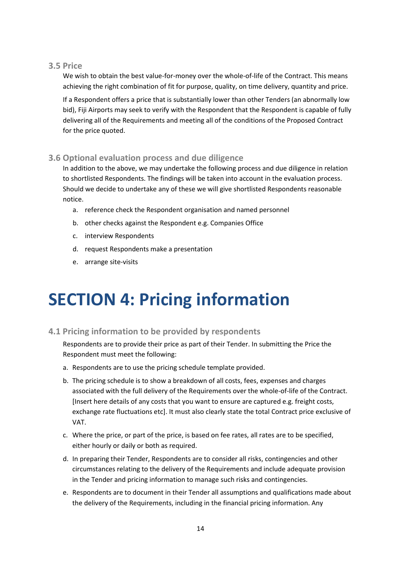### **3.5 Price**

We wish to obtain the best value-for-money over the whole-of-life of the Contract. This means achieving the right combination of fit for purpose, quality, on time delivery, quantity and price.

If a Respondent offers a price that is substantially lower than other Tenders (an abnormally low bid), Fiji Airports may seek to verify with the Respondent that the Respondent is capable of fully delivering all of the Requirements and meeting all of the conditions of the Proposed Contract for the price quoted.

## **3.6 Optional evaluation process and due diligence**

In addition to the above, we may undertake the following process and due diligence in relation to shortlisted Respondents. The findings will be taken into account in the evaluation process. Should we decide to undertake any of these we will give shortlisted Respondents reasonable notice.

- a. reference check the Respondent organisation and named personnel
- b. other checks against the Respondent e.g. Companies Office
- c. interview Respondents
- d. request Respondents make a presentation
- e. arrange site-visits

## <span id="page-13-0"></span>**SECTION 4: Pricing information**

## **4.1 Pricing information to be provided by respondents**

Respondents are to provide their price as part of their Tender. In submitting the Price the Respondent must meet the following:

- a. Respondents are to use the pricing schedule template provided.
- b. The pricing schedule is to show a breakdown of all costs, fees, expenses and charges associated with the full delivery of the Requirements over the whole-of-life of the Contract. [Insert here details of any costs that you want to ensure are captured e.g. freight costs, exchange rate fluctuations etc]. It must also clearly state the total Contract price exclusive of VAT.
- c. Where the price, or part of the price, is based on fee rates, all rates are to be specified, either hourly or daily or both as required.
- d. In preparing their Tender, Respondents are to consider all risks, contingencies and other circumstances relating to the delivery of the Requirements and include adequate provision in the Tender and pricing information to manage such risks and contingencies.
- e. Respondents are to document in their Tender all assumptions and qualifications made about the delivery of the Requirements, including in the financial pricing information. Any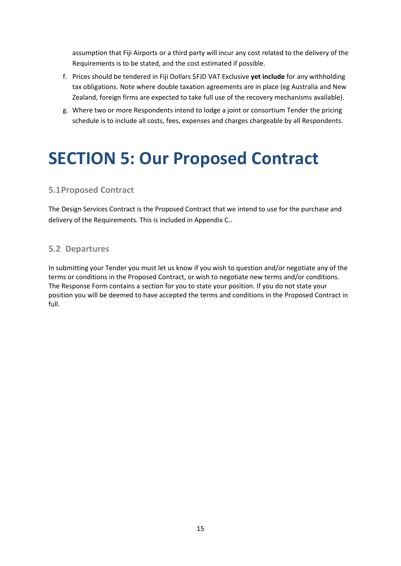assumption that Fiji Airports or a third party will incur any cost related to the delivery of the Requirements is to be stated, and the cost estimated if possible.

- f. Prices should be tendered in Fiji Dollars \$FJD VAT Exclusive **yet include** for any withholding tax obligations. Note where double taxation agreements are in place (eg Australia and New Zealand, foreign firms are expected to take full use of the recovery mechanisms available).
- g. Where two or more Respondents intend to lodge a joint or consortium Tender the pricing schedule is to include all costs, fees, expenses and charges chargeable by all Respondents.

## <span id="page-14-0"></span>**SECTION 5: Our Proposed Contract**

## **5.1Proposed Contract**

The Design Services Contract is the Proposed Contract that we intend to use for the purchase and delivery of the Requirements. This is included in Appendix C.**.**

## **5.2 Departures**

In submitting your Tender you must let us know if you wish to question and/or negotiate any of the terms or conditions in the Proposed Contract, or wish to negotiate new terms and/or conditions. The Response Form contains a section for you to state your position. If you do not state your position you will be deemed to have accepted the terms and conditions in the Proposed Contract in full.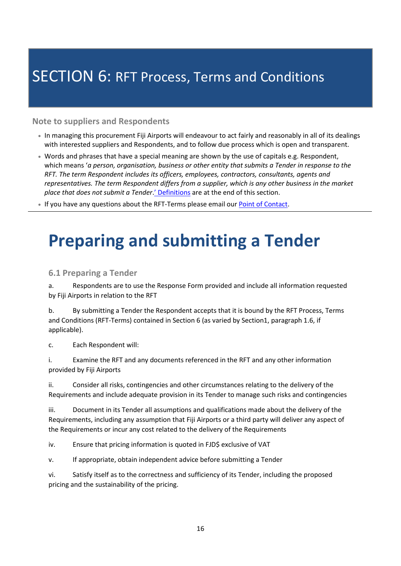## <span id="page-15-1"></span><span id="page-15-0"></span>**SECTION 6: RFT Process, Terms and Conditions**

## **Note to suppliers and Respondents**

- In managing this procurement Fiji Airports will endeavour to act fairly and reasonably in all of its dealings with interested suppliers and Respondents, and to follow due process which is open and transparent.
- Words and phrases that have a special meaning are shown by the use of capitals e.g. Respondent, which means '*a person, organisation, business or other entity that submits a Tender in response to the RFT. The term Respondent includes its officers, employees, contractors, consultants, agents and representatives. The term Respondent differs from a supplier, which is any other business in the market place that does not submit a Tender*.' Definitions are at the end of this section.
- If you have any questions about the RFT-Terms please email ou[r Point of Contact.](#page-4-1)

## **Preparing and submitting a Tender**

## **6.1 Preparing a Tender**

a. Respondents are to use the Response Form provided and include all information requested by Fiji Airports in relation to the RFT

b. By submitting a Tender the Respondent accepts that it is bound by the RFT Process, Terms and Conditions (RFT-Terms) contained in Section 6 (as varied by Section1, paragraph 1.6, if applicable).

c. Each Respondent will:

i. Examine the RFT and any documents referenced in the RFT and any other information provided by Fiji Airports

ii. Consider all risks, contingencies and other circumstances relating to the delivery of the Requirements and include adequate provision in its Tender to manage such risks and contingencies

iii. Document in its Tender all assumptions and qualifications made about the delivery of the Requirements, including any assumption that Fiji Airports or a third party will deliver any aspect of the Requirements or incur any cost related to the delivery of the Requirements

iv. Ensure that pricing information is quoted in FJD\$ exclusive of VAT

v. If appropriate, obtain independent advice before submitting a Tender

vi. Satisfy itself as to the correctness and sufficiency of its Tender, including the proposed pricing and the sustainability of the pricing.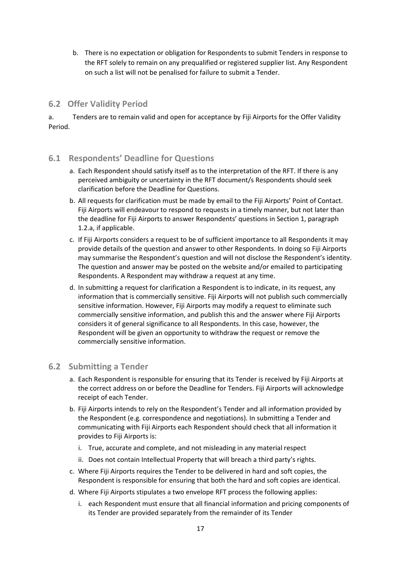b. There is no expectation or obligation for Respondents to submit Tenders in response to the RFT solely to remain on any prequalified or registered supplier list. Any Respondent on such a list will not be penalised for failure to submit a Tender.

## **6.2 Offer Validity Period**

a. Tenders are to remain valid and open for acceptance by Fiji Airports for the Offer Validity Period.

## **6.1 Respondents' Deadline for Questions**

- a. Each Respondent should satisfy itself as to the interpretation of the RFT. If there is any perceived ambiguity or uncertainty in the RFT document/s Respondents should seek clarification before the Deadline for Questions.
- b. All requests for clarification must be made by email to the Fiji Airports' Point of Contact. Fiji Airports will endeavour to respond to requests in a timely manner, but not later than the deadline for Fiji Airports to answer Respondents' questions in Section 1, paragraph 1.2.a, if applicable.
- c. If Fiji Airports considers a request to be of sufficient importance to all Respondents it may provide details of the question and answer to other Respondents. In doing so Fiji Airports may summarise the Respondent's question and will not disclose the Respondent's identity. The question and answer may be posted on the website and/or emailed to participating Respondents. A Respondent may withdraw a request at any time.
- d. In submitting a request for clarification a Respondent is to indicate, in its request, any information that is commercially sensitive. Fiji Airports will not publish such commercially sensitive information. However, Fiji Airports may modify a request to eliminate such commercially sensitive information, and publish this and the answer where Fiji Airports considers it of general significance to all Respondents. In this case, however, the Respondent will be given an opportunity to withdraw the request or remove the commercially sensitive information.

## **6.2 Submitting a Tender**

- a. Each Respondent is responsible for ensuring that its Tender is received by Fiji Airports at the correct address on or before the Deadline for Tenders. Fiji Airports will acknowledge receipt of each Tender.
- b. Fiji Airports intends to rely on the Respondent's Tender and all information provided by the Respondent (e.g. correspondence and negotiations). In submitting a Tender and communicating with Fiji Airports each Respondent should check that all information it provides to Fiji Airports is:
	- i. True, accurate and complete, and not misleading in any material respect
	- ii. Does not contain Intellectual Property that will breach a third party's rights.
- c. Where Fiji Airports requires the Tender to be delivered in hard and soft copies, the Respondent is responsible for ensuring that both the hard and soft copies are identical.
- d. Where Fiji Airports stipulates a two envelope RFT process the following applies:
	- i. each Respondent must ensure that all financial information and pricing components of its Tender are provided separately from the remainder of its Tender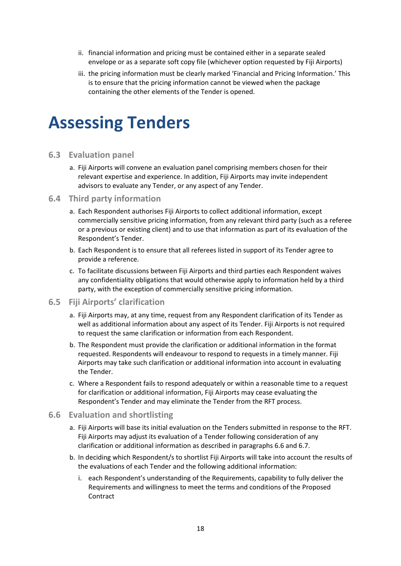- ii. financial information and pricing must be contained either in a separate sealed envelope or as a separate soft copy file (whichever option requested by Fiji Airports)
- iii. the pricing information must be clearly marked 'Financial and Pricing Information.' This is to ensure that the pricing information cannot be viewed when the package containing the other elements of the Tender is opened.

## **Assessing Tenders**

#### **6.3 Evaluation panel**

a. Fiji Airports will convene an evaluation panel comprising members chosen for their relevant expertise and experience. In addition, Fiji Airports may invite independent advisors to evaluate any Tender, or any aspect of any Tender.

#### **6.4 Third party information**

- a. Each Respondent authorises Fiji Airports to collect additional information, except commercially sensitive pricing information, from any relevant third party (such as a referee or a previous or existing client) and to use that information as part of its evaluation of the Respondent's Tender.
- b. Each Respondent is to ensure that all referees listed in support of its Tender agree to provide a reference.
- c. To facilitate discussions between Fiji Airports and third parties each Respondent waives any confidentiality obligations that would otherwise apply to information held by a third party, with the exception of commercially sensitive pricing information.
- **6.5 Fiji Airports' clarification** 
	- a. Fiji Airports may, at any time, request from any Respondent clarification of its Tender as well as additional information about any aspect of its Tender. Fiji Airports is not required to request the same clarification or information from each Respondent.
	- b. The Respondent must provide the clarification or additional information in the format requested. Respondents will endeavour to respond to requests in a timely manner. Fiji Airports may take such clarification or additional information into account in evaluating the Tender.
	- c. Where a Respondent fails to respond adequately or within a reasonable time to a request for clarification or additional information, Fiji Airports may cease evaluating the Respondent's Tender and may eliminate the Tender from the RFT process.

#### **6.6 Evaluation and shortlisting**

- a. Fiji Airports will base its initial evaluation on the Tenders submitted in response to the RFT. Fiji Airports may adjust its evaluation of a Tender following consideration of any clarification or additional information as described in paragraphs 6.6 and 6.7.
- b. In deciding which Respondent/s to shortlist Fiji Airports will take into account the results of the evaluations of each Tender and the following additional information:
	- i. each Respondent's understanding of the Requirements, capability to fully deliver the Requirements and willingness to meet the terms and conditions of the Proposed **Contract**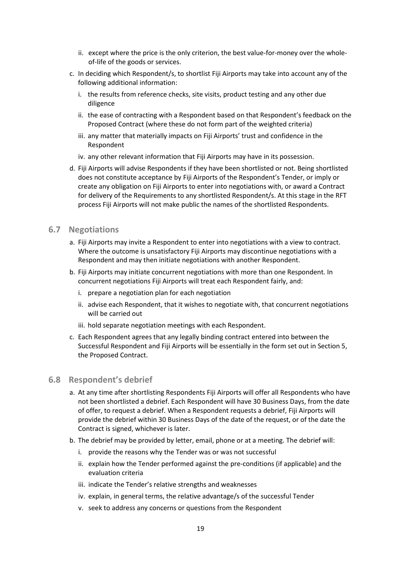- ii. except where the price is the only criterion, the best value-for-money over the wholeof-life of the goods or services.
- c. In deciding which Respondent/s, to shortlist Fiji Airports may take into account any of the following additional information:
	- i. the results from reference checks, site visits, product testing and any other due diligence
	- ii. the ease of contracting with a Respondent based on that Respondent's feedback on the Proposed Contract (where these do not form part of the weighted criteria)
	- iii. any matter that materially impacts on Fiji Airports' trust and confidence in the Respondent
	- iv. any other relevant information that Fiji Airports may have in its possession.
- d. Fiji Airports will advise Respondents if they have been shortlisted or not. Being shortlisted does not constitute acceptance by Fiji Airports of the Respondent's Tender, or imply or create any obligation on Fiji Airports to enter into negotiations with, or award a Contract for delivery of the Requirements to any shortlisted Respondent/s. At this stage in the RFT process Fiji Airports will not make public the names of the shortlisted Respondents.

#### **6.7 Negotiations**

- a. Fiji Airports may invite a Respondent to enter into negotiations with a view to contract. Where the outcome is unsatisfactory Fiji Airports may discontinue negotiations with a Respondent and may then initiate negotiations with another Respondent.
- b. Fiji Airports may initiate concurrent negotiations with more than one Respondent. In concurrent negotiations Fiji Airports will treat each Respondent fairly, and:
	- i. prepare a negotiation plan for each negotiation
	- ii. advise each Respondent, that it wishes to negotiate with, that concurrent negotiations will be carried out
	- iii. hold separate negotiation meetings with each Respondent.
- c. Each Respondent agrees that any legally binding contract entered into between the Successful Respondent and Fiji Airports will be essentially in the form set out in Section 5, the Proposed Contract.

#### **6.8 Respondent's debrief**

- a. At any time after shortlisting Respondents Fiji Airports will offer all Respondents who have not been shortlisted a debrief. Each Respondent will have 30 Business Days, from the date of offer, to request a debrief. When a Respondent requests a debrief, Fiji Airports will provide the debrief within 30 Business Days of the date of the request, or of the date the Contract is signed, whichever is later.
- b. The debrief may be provided by letter, email, phone or at a meeting. The debrief will:
	- i. provide the reasons why the Tender was or was not successful
	- ii. explain how the Tender performed against the pre-conditions (if applicable) and the evaluation criteria
	- iii. indicate the Tender's relative strengths and weaknesses
	- iv. explain, in general terms, the relative advantage/s of the successful Tender
	- v. seek to address any concerns or questions from the Respondent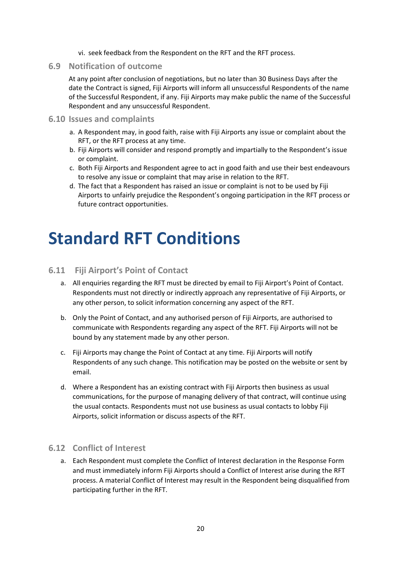- vi. seek feedback from the Respondent on the RFT and the RFT process.
- **6.9 Notification of outcome**

At any point after conclusion of negotiations, but no later than 30 Business Days after the date the Contract is signed, Fiji Airports will inform all unsuccessful Respondents of the name of the Successful Respondent, if any. Fiji Airports may make public the name of the Successful Respondent and any unsuccessful Respondent.

#### **6.10 Issues and complaints**

- a. A Respondent may, in good faith, raise with Fiji Airports any issue or complaint about the RFT, or the RFT process at any time.
- b. Fiji Airports will consider and respond promptly and impartially to the Respondent's issue or complaint.
- c. Both Fiji Airports and Respondent agree to act in good faith and use their best endeavours to resolve any issue or complaint that may arise in relation to the RFT.
- d. The fact that a Respondent has raised an issue or complaint is not to be used by Fiji Airports to unfairly prejudice the Respondent's ongoing participation in the RFT process or future contract opportunities.

## **Standard RFT Conditions**

## **6.11 Fiji Airport's Point of Contact**

- a. All enquiries regarding the RFT must be directed by email to Fiji Airport's Point of Contact. Respondents must not directly or indirectly approach any representative of Fiji Airports, or any other person, to solicit information concerning any aspect of the RFT.
- b. Only the Point of Contact, and any authorised person of Fiji Airports, are authorised to communicate with Respondents regarding any aspect of the RFT. Fiji Airports will not be bound by any statement made by any other person.
- c. Fiji Airports may change the Point of Contact at any time. Fiji Airports will notify Respondents of any such change. This notification may be posted on the website or sent by email.
- d. Where a Respondent has an existing contract with Fiji Airports then business as usual communications, for the purpose of managing delivery of that contract, will continue using the usual contacts. Respondents must not use business as usual contacts to lobby Fiji Airports, solicit information or discuss aspects of the RFT.

#### **6.12 Conflict of Interest**

a. Each Respondent must complete the Conflict of Interest declaration in the Response Form and must immediately inform Fiji Airports should a Conflict of Interest arise during the RFT process. A material Conflict of Interest may result in the Respondent being disqualified from participating further in the RFT.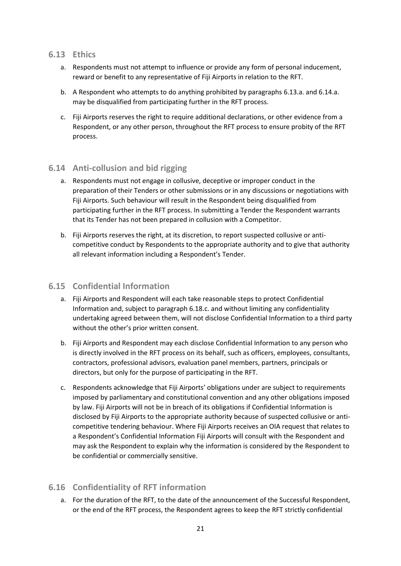#### **6.13 Ethics**

- a. Respondents must not attempt to influence or provide any form of personal inducement, reward or benefit to any representative of Fiji Airports in relation to the RFT.
- b. A Respondent who attempts to do anything prohibited by paragraphs 6.13.a. and 6.14.a. may be disqualified from participating further in the RFT process.
- c. Fiji Airports reserves the right to require additional declarations, or other evidence from a Respondent, or any other person, throughout the RFT process to ensure probity of the RFT process.

## **6.14 Anti-collusion and bid rigging**

- a. Respondents must not engage in collusive, deceptive or improper conduct in the preparation of their Tenders or other submissions or in any discussions or negotiations with Fiji Airports. Such behaviour will result in the Respondent being disqualified from participating further in the RFT process. In submitting a Tender the Respondent warrants that its Tender has not been prepared in collusion with a Competitor.
- b. Fiji Airports reserves the right, at its discretion, to report suspected collusive or anticompetitive conduct by Respondents to the appropriate authority and to give that authority all relevant information including a Respondent's Tender.

## **6.15 Confidential Information**

- a. Fiji Airports and Respondent will each take reasonable steps to protect Confidential Information and, subject to paragraph 6.18.c. and without limiting any confidentiality undertaking agreed between them, will not disclose Confidential Information to a third party without the other's prior written consent.
- b. Fiji Airports and Respondent may each disclose Confidential Information to any person who is directly involved in the RFT process on its behalf, such as officers, employees, consultants, contractors, professional advisors, evaluation panel members, partners, principals or directors, but only for the purpose of participating in the RFT.
- c. Respondents acknowledge that Fiji Airports' obligations under are subject to requirements imposed by parliamentary and constitutional convention and any other obligations imposed by law. Fiji Airports will not be in breach of its obligations if Confidential Information is disclosed by Fiji Airports to the appropriate authority because of suspected collusive or anticompetitive tendering behaviour. Where Fiji Airports receives an OIA request that relates to a Respondent's Confidential Information Fiji Airports will consult with the Respondent and may ask the Respondent to explain why the information is considered by the Respondent to be confidential or commercially sensitive.

## **6.16 Confidentiality of RFT information**

a. For the duration of the RFT, to the date of the announcement of the Successful Respondent, or the end of the RFT process, the Respondent agrees to keep the RFT strictly confidential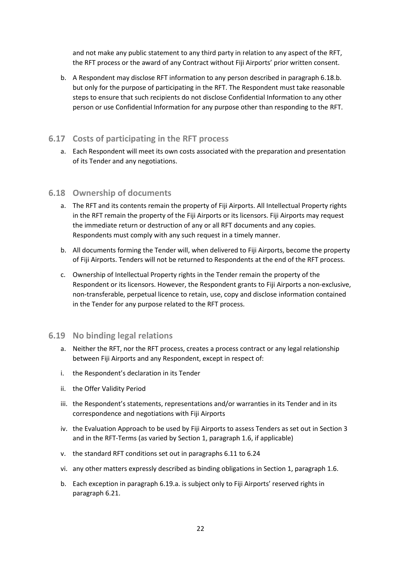and not make any public statement to any third party in relation to any aspect of the RFT, the RFT process or the award of any Contract without Fiji Airports' prior written consent.

b. A Respondent may disclose RFT information to any person described in paragraph 6.18.b. but only for the purpose of participating in the RFT. The Respondent must take reasonable steps to ensure that such recipients do not disclose Confidential Information to any other person or use Confidential Information for any purpose other than responding to the RFT.

## **6.17 Costs of participating in the RFT process**

a. Each Respondent will meet its own costs associated with the preparation and presentation of its Tender and any negotiations.

#### **6.18 Ownership of documents**

- a. The RFT and its contents remain the property of Fiji Airports. All Intellectual Property rights in the RFT remain the property of the Fiji Airports or its licensors. Fiji Airports may request the immediate return or destruction of any or all RFT documents and any copies. Respondents must comply with any such request in a timely manner.
- b. All documents forming the Tender will, when delivered to Fiji Airports, become the property of Fiji Airports. Tenders will not be returned to Respondents at the end of the RFT process.
- c. Ownership of Intellectual Property rights in the Tender remain the property of the Respondent or its licensors. However, the Respondent grants to Fiji Airports a non-exclusive, non-transferable, perpetual licence to retain, use, copy and disclose information contained in the Tender for any purpose related to the RFT process.

## **6.19 No binding legal relations**

- a. Neither the RFT, nor the RFT process, creates a process contract or any legal relationship between Fiji Airports and any Respondent, except in respect of:
- i. the Respondent's declaration in its Tender
- ii. the Offer Validity Period
- iii. the Respondent's statements, representations and/or warranties in its Tender and in its correspondence and negotiations with Fiji Airports
- iv. the Evaluation Approach to be used by Fiji Airports to assess Tenders as set out in Section 3 and in the RFT-Terms (as varied by Section 1, paragraph 1.6, if applicable)
- v. the standard RFT conditions set out in paragraphs 6.11 to 6.24
- vi. any other matters expressly described as binding obligations in Section 1, paragraph 1.6.
- b. Each exception in paragraph 6.19.a. is subject only to Fiji Airports' reserved rights in paragraph 6.21.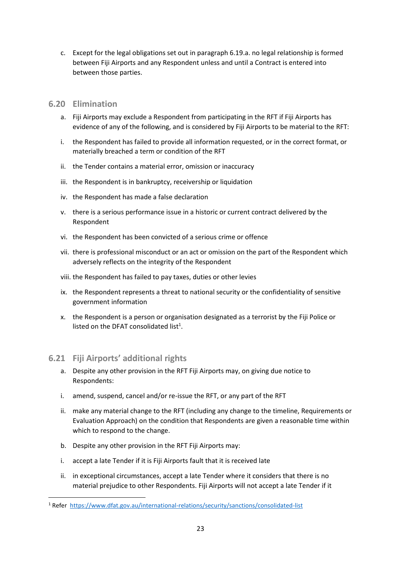c. Except for the legal obligations set out in paragraph 6.19.a. no legal relationship is formed between Fiji Airports and any Respondent unless and until a Contract is entered into between those parties.

## **6.20 Elimination**

- a. Fiji Airports may exclude a Respondent from participating in the RFT if Fiji Airports has evidence of any of the following, and is considered by Fiji Airports to be material to the RFT:
- i. the Respondent has failed to provide all information requested, or in the correct format, or materially breached a term or condition of the RFT
- ii. the Tender contains a material error, omission or inaccuracy
- iii. the Respondent is in bankruptcy, receivership or liquidation
- iv. the Respondent has made a false declaration
- v. there is a serious performance issue in a historic or current contract delivered by the Respondent
- vi. the Respondent has been convicted of a serious crime or offence
- vii. there is professional misconduct or an act or omission on the part of the Respondent which adversely reflects on the integrity of the Respondent
- viii. the Respondent has failed to pay taxes, duties or other levies
- ix. the Respondent represents a threat to national security or the confidentiality of sensitive government information
- x. the Respondent is a person or organisation designated as a terrorist by the Fiji Police or listed on the DFAT consolidated list<sup>1</sup>.

## **6.21 Fiji Airports' additional rights**

- a. Despite any other provision in the RFT Fiji Airports may, on giving due notice to Respondents:
- i. amend, suspend, cancel and/or re-issue the RFT, or any part of the RFT
- ii. make any material change to the RFT (including any change to the timeline, Requirements or Evaluation Approach) on the condition that Respondents are given a reasonable time within which to respond to the change.
- b. Despite any other provision in the RFT Fiji Airports may:
- i. accept a late Tender if it is Fiji Airports fault that it is received late
- ii. in exceptional circumstances, accept a late Tender where it considers that there is no material prejudice to other Respondents. Fiji Airports will not accept a late Tender if it

<sup>1</sup> Refer <https://www.dfat.gov.au/international-relations/security/sanctions/consolidated-list>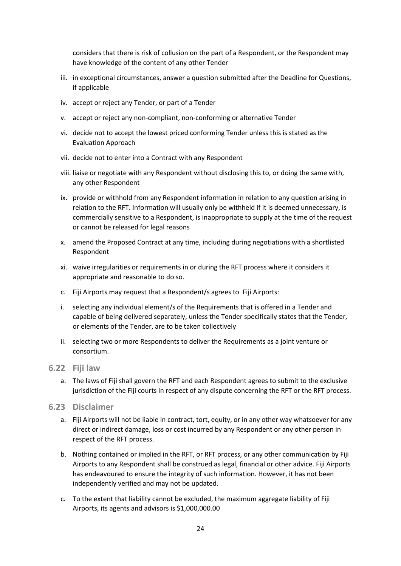considers that there is risk of collusion on the part of a Respondent, or the Respondent may have knowledge of the content of any other Tender

- iii. in exceptional circumstances, answer a question submitted after the Deadline for Questions, if applicable
- iv. accept or reject any Tender, or part of a Tender
- v. accept or reject any non-compliant, non-conforming or alternative Tender
- vi. decide not to accept the lowest priced conforming Tender unless this is stated as the Evaluation Approach
- vii. decide not to enter into a Contract with any Respondent
- viii. liaise or negotiate with any Respondent without disclosing this to, or doing the same with, any other Respondent
- ix. provide or withhold from any Respondent information in relation to any question arising in relation to the RFT. Information will usually only be withheld if it is deemed unnecessary, is commercially sensitive to a Respondent, is inappropriate to supply at the time of the request or cannot be released for legal reasons
- x. amend the Proposed Contract at any time, including during negotiations with a shortlisted Respondent
- xi. waive irregularities or requirements in or during the RFT process where it considers it appropriate and reasonable to do so.
- c. Fiji Airports may request that a Respondent/s agrees to Fiji Airports:
- i. selecting any individual element/s of the Requirements that is offered in a Tender and capable of being delivered separately, unless the Tender specifically states that the Tender, or elements of the Tender, are to be taken collectively
- ii. selecting two or more Respondents to deliver the Requirements as a joint venture or consortium.
- **6.22 Fiji law**
	- a. The laws of Fiji shall govern the RFT and each Respondent agrees to submit to the exclusive jurisdiction of the Fiji courts in respect of any dispute concerning the RFT or the RFT process.
- **6.23 Disclaimer**
	- a. Fiji Airports will not be liable in contract, tort, equity, or in any other way whatsoever for any direct or indirect damage, loss or cost incurred by any Respondent or any other person in respect of the RFT process.
	- b. Nothing contained or implied in the RFT, or RFT process, or any other communication by Fiji Airports to any Respondent shall be construed as legal, financial or other advice. Fiji Airports has endeavoured to ensure the integrity of such information. However, it has not been independently verified and may not be updated.
	- c. To the extent that liability cannot be excluded, the maximum aggregate liability of Fiji Airports, its agents and advisors is \$1,000,000.00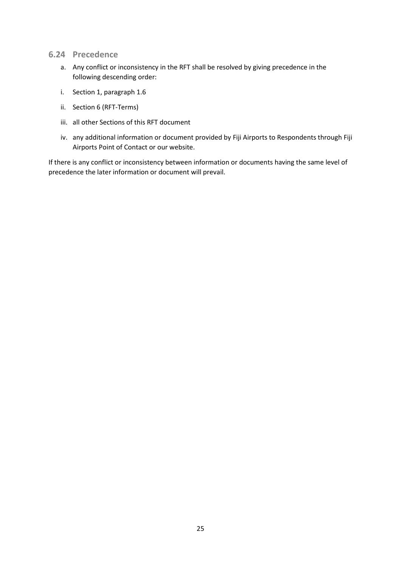- **6.24 Precedence**
	- a. Any conflict or inconsistency in the RFT shall be resolved by giving precedence in the following descending order:
	- i. Section 1, paragraph 1.6
	- ii. Section 6 (RFT-Terms)
	- iii. all other Sections of this RFT document
	- iv. any additional information or document provided by Fiji Airports to Respondents through Fiji Airports Point of Contact or our website.

If there is any conflict or inconsistency between information or documents having the same level of precedence the later information or document will prevail.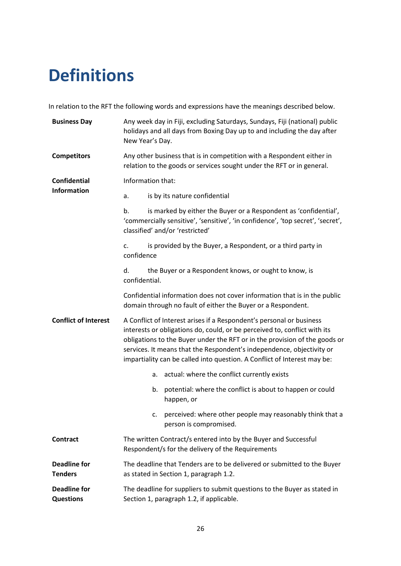## **Definitions**

In relation to the RFT the following words and expressions have the meanings described below.

| <b>Business Day</b>                     | Any week day in Fiji, excluding Saturdays, Sundays, Fiji (national) public<br>holidays and all days from Boxing Day up to and including the day after<br>New Year's Day.                                                                                                                                                                                                             |  |  |
|-----------------------------------------|--------------------------------------------------------------------------------------------------------------------------------------------------------------------------------------------------------------------------------------------------------------------------------------------------------------------------------------------------------------------------------------|--|--|
| <b>Competitors</b>                      | Any other business that is in competition with a Respondent either in<br>relation to the goods or services sought under the RFT or in general.                                                                                                                                                                                                                                       |  |  |
| <b>Confidential</b>                     | Information that:                                                                                                                                                                                                                                                                                                                                                                    |  |  |
| <b>Information</b>                      | is by its nature confidential<br>a.                                                                                                                                                                                                                                                                                                                                                  |  |  |
|                                         | is marked by either the Buyer or a Respondent as 'confidential',<br>b.<br>'commercially sensitive', 'sensitive', 'in confidence', 'top secret', 'secret',<br>classified' and/or 'restricted'                                                                                                                                                                                         |  |  |
|                                         | is provided by the Buyer, a Respondent, or a third party in<br>c.<br>confidence                                                                                                                                                                                                                                                                                                      |  |  |
|                                         | the Buyer or a Respondent knows, or ought to know, is<br>d.<br>confidential.                                                                                                                                                                                                                                                                                                         |  |  |
|                                         | Confidential information does not cover information that is in the public<br>domain through no fault of either the Buyer or a Respondent.                                                                                                                                                                                                                                            |  |  |
| <b>Conflict of Interest</b>             | A Conflict of Interest arises if a Respondent's personal or business<br>interests or obligations do, could, or be perceived to, conflict with its<br>obligations to the Buyer under the RFT or in the provision of the goods or<br>services. It means that the Respondent's independence, objectivity or<br>impartiality can be called into question. A Conflict of Interest may be: |  |  |
|                                         | actual: where the conflict currently exists<br>а.                                                                                                                                                                                                                                                                                                                                    |  |  |
|                                         | potential: where the conflict is about to happen or could<br>b.<br>happen, or                                                                                                                                                                                                                                                                                                        |  |  |
|                                         | perceived: where other people may reasonably think that a<br>c.<br>person is compromised.                                                                                                                                                                                                                                                                                            |  |  |
| <b>Contract</b>                         | The written Contract/s entered into by the Buyer and Successful<br>Respondent/s for the delivery of the Requirements                                                                                                                                                                                                                                                                 |  |  |
| <b>Deadline for</b><br><b>Tenders</b>   | The deadline that Tenders are to be delivered or submitted to the Buyer<br>as stated in Section 1, paragraph 1.2.                                                                                                                                                                                                                                                                    |  |  |
| <b>Deadline for</b><br><b>Questions</b> | The deadline for suppliers to submit questions to the Buyer as stated in<br>Section 1, paragraph 1.2, if applicable.                                                                                                                                                                                                                                                                 |  |  |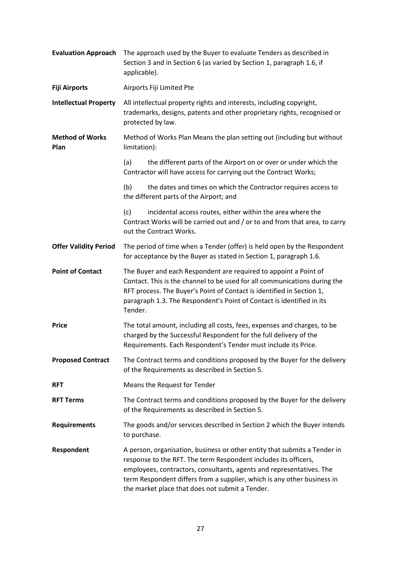| <b>Evaluation Approach</b>     | The approach used by the Buyer to evaluate Tenders as described in<br>Section 3 and in Section 6 (as varied by Section 1, paragraph 1.6, if<br>applicable).                                                                                                                                                                                        |  |
|--------------------------------|----------------------------------------------------------------------------------------------------------------------------------------------------------------------------------------------------------------------------------------------------------------------------------------------------------------------------------------------------|--|
| <b>Fiji Airports</b>           | Airports Fiji Limited Pte                                                                                                                                                                                                                                                                                                                          |  |
| <b>Intellectual Property</b>   | All intellectual property rights and interests, including copyright,<br>trademarks, designs, patents and other proprietary rights, recognised or<br>protected by law.                                                                                                                                                                              |  |
| <b>Method of Works</b><br>Plan | Method of Works Plan Means the plan setting out (including but without<br>limitation):                                                                                                                                                                                                                                                             |  |
|                                | the different parts of the Airport on or over or under which the<br>(a)<br>Contractor will have access for carrying out the Contract Works;                                                                                                                                                                                                        |  |
|                                | (b)<br>the dates and times on which the Contractor requires access to<br>the different parts of the Airport; and                                                                                                                                                                                                                                   |  |
|                                | (c)<br>incidental access routes, either within the area where the<br>Contract Works will be carried out and / or to and from that area, to carry<br>out the Contract Works.                                                                                                                                                                        |  |
| <b>Offer Validity Period</b>   | The period of time when a Tender (offer) is held open by the Respondent<br>for acceptance by the Buyer as stated in Section 1, paragraph 1.6.                                                                                                                                                                                                      |  |
| <b>Point of Contact</b>        | The Buyer and each Respondent are required to appoint a Point of<br>Contact. This is the channel to be used for all communications during the<br>RFT process. The Buyer's Point of Contact is identified in Section 1,<br>paragraph 1.3. The Respondent's Point of Contact is identified in its<br>Tender.                                         |  |
| <b>Price</b>                   | The total amount, including all costs, fees, expenses and charges, to be<br>charged by the Successful Respondent for the full delivery of the<br>Requirements. Each Respondent's Tender must include its Price.                                                                                                                                    |  |
| <b>Proposed Contract</b>       | The Contract terms and conditions proposed by the Buyer for the delivery<br>of the Requirements as described in Section 5.                                                                                                                                                                                                                         |  |
| <b>RFT</b>                     | Means the Request for Tender                                                                                                                                                                                                                                                                                                                       |  |
| <b>RFT Terms</b>               | The Contract terms and conditions proposed by the Buyer for the delivery<br>of the Requirements as described in Section 5.                                                                                                                                                                                                                         |  |
| <b>Requirements</b>            | The goods and/or services described in Section 2 which the Buyer intends<br>to purchase.                                                                                                                                                                                                                                                           |  |
| Respondent                     | A person, organisation, business or other entity that submits a Tender in<br>response to the RFT. The term Respondent includes its officers,<br>employees, contractors, consultants, agents and representatives. The<br>term Respondent differs from a supplier, which is any other business in<br>the market place that does not submit a Tender. |  |